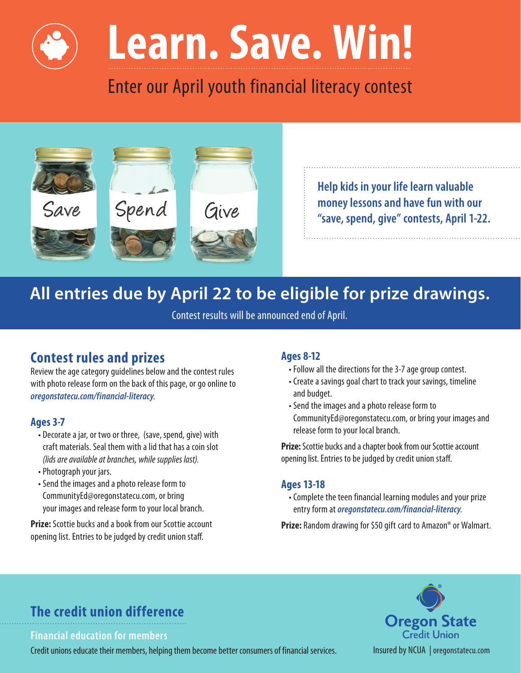# **Learn. Save. Win!**

Enter our April youth financial literacy contest



**Help kids in your life learn valuable money lessons and have fun with our "save, spend, give" contests, April 1-22.** 

## **All entries due by April 22 to be eligible for prize drawings.**

Contest results will be announced end of April.

### **Contest rules and prizes**

Review the age category guidelines below and the contest rules with photo release form on the back of this page, or go online to *[oregonstatecu.com/financial-literacy](https://oregonstatecu.com/financial-literacy)*.

#### **Ages 3-7**

- Decorate a jar, or two or three, (save, spend, give) with craft materials. Seal them with a lid that has a coin slot *(lids are available at branches, while supplies last).*
- Photograph your jars.
- Send the images and a photo release form to [CommunityEd@oregonstatecu.com](mailto:CommunityEd@oregonstatecu.com), or bring your images and release form to your local branch.

**Prize:** Scottie bucks and a book from our Scottie account opening list. Entries to be judged by credit union staf.

#### **Ages 8-12**

- Follow all the directions for the 3-7 age group contest.
- Create a savings goal chart to track your savings, timeline and budget.
- Send the images and a photo release form to [CommunityEd@oregonstatecu.com](mailto:CommunityEd@oregonstatecu.com), or bring your images and release form to your local branch.

**Prize:** Scottie bucks and a chapter book from our Scottie account opening list. Entries to be judged by credit union staf.

#### **Ages 13-18**

• Complete the teen financial learning modules and your prize entry form at *[oregonstatecu.com/financial-literacy](https://oregonstatecu.com/financial-literacy)*.

**Prize:** Random drawing for \$50 gift card to Amazon® or Walmart.

## **The credit union difference**

**Financial education for members** 

Credit unions educate their members, helping them become better consumers of financial services. Insured by NCUA | [oregonstatecu.com](https://oregonstatecu.com)